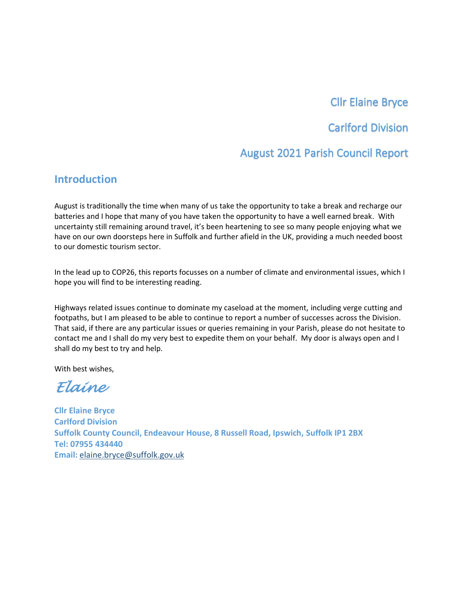### Cllr Elaine Bryce

## Carlford Division

### August 2021 Parish Council Report

### **Introduction**

August is traditionally the time when many of us take the opportunity to take a break and recharge our batteries and I hope that many of you have taken the opportunity to have a well earned break. With uncertainty still remaining around travel, it's been heartening to see so many people enjoying what we have on our own doorsteps here in Suffolk and further afield in the UK, providing a much needed boost to our domestic tourism sector.

In the lead up to COP26, this reports focusses on a number of climate and environmental issues, which I hope you will find to be interesting reading.

Highways related issues continue to dominate my caseload at the moment, including verge cutting and footpaths, but I am pleased to be able to continue to report a number of successes across the Division. That said, if there are any particular issues or queries remaining in your Parish, please do not hesitate to contact me and I shall do my very best to expedite them on your behalf. My door is always open and I shall do my best to try and help.

With best wishes,

*Elaine* 

**Cllr Elaine Bryce Carlford Division Suffolk County Council, Endeavour House, 8 Russell Road, Ipswich, Suffolk IP1 2BX Tel: 07955 434440 Email:** [elaine.bryce@suffolk.gov.uk](mailto:elaine.bryce@suffolk.gov.uk)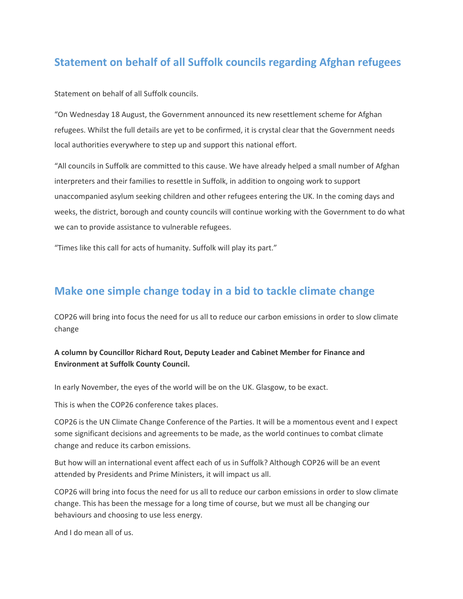## **Statement on behalf of all Suffolk councils regarding Afghan refugees**

Statement on behalf of all Suffolk councils.

"On Wednesday 18 August, the Government announced its new resettlement scheme for Afghan refugees. Whilst the full details are yet to be confirmed, it is crystal clear that the Government needs local authorities everywhere to step up and support this national effort.

"All councils in Suffolk are committed to this cause. We have already helped a small number of Afghan interpreters and their families to resettle in Suffolk, in addition to ongoing work to support unaccompanied asylum seeking children and other refugees entering the UK. In the coming days and weeks, the district, borough and county councils will continue working with the Government to do what we can to provide assistance to vulnerable refugees.

"Times like this call for acts of humanity. Suffolk will play its part."

### **Make one simple change today in a bid to tackle climate change**

COP26 will bring into focus the need for us all to reduce our carbon emissions in order to slow climate change

#### **A column by Councillor Richard Rout, Deputy Leader and Cabinet Member for Finance and Environment at Suffolk County Council.**

In early November, the eyes of the world will be on the UK. Glasgow, to be exact.

This is when the COP26 conference takes places.

COP26 is the UN Climate Change Conference of the Parties. It will be a momentous event and I expect some significant decisions and agreements to be made, as the world continues to combat climate change and reduce its carbon emissions.

But how will an international event affect each of us in Suffolk? Although COP26 will be an event attended by Presidents and Prime Ministers, it will impact us all.

COP26 will bring into focus the need for us all to reduce our carbon emissions in order to slow climate change. This has been the message for a long time of course, but we must all be changing our behaviours and choosing to use less energy.

And I do mean all of us.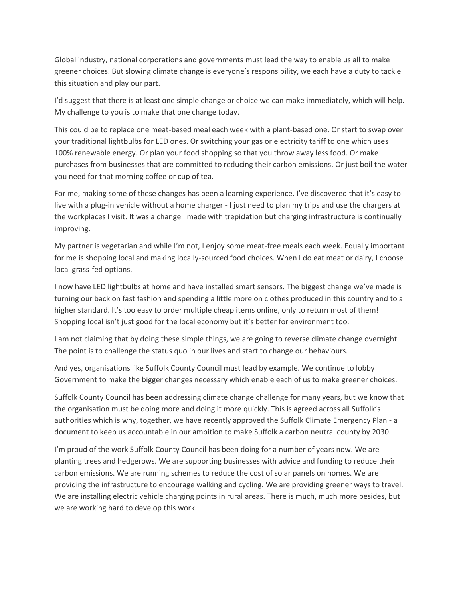Global industry, national corporations and governments must lead the way to enable us all to make greener choices. But slowing climate change is everyone's responsibility, we each have a duty to tackle this situation and play our part.

I'd suggest that there is at least one simple change or choice we can make immediately, which will help. My challenge to you is to make that one change today.

This could be to replace one meat-based meal each week with a plant-based one. Or start to swap over your traditional lightbulbs for LED ones. Or switching your gas or electricity tariff to one which uses 100% renewable energy. Or plan your food shopping so that you throw away less food. Or make purchases from businesses that are committed to reducing their carbon emissions. Or just boil the water you need for that morning coffee or cup of tea.

For me, making some of these changes has been a learning experience. I've discovered that it's easy to live with a plug-in vehicle without a home charger - I just need to plan my trips and use the chargers at the workplaces I visit. It was a change I made with trepidation but charging infrastructure is continually improving.

My partner is vegetarian and while I'm not, I enjoy some meat-free meals each week. Equally important for me is shopping local and making locally-sourced food choices. When I do eat meat or dairy, I choose local grass-fed options.

I now have LED lightbulbs at home and have installed smart sensors. The biggest change we've made is turning our back on fast fashion and spending a little more on clothes produced in this country and to a higher standard. It's too easy to order multiple cheap items online, only to return most of them! Shopping local isn't just good for the local economy but it's better for environment too.

I am not claiming that by doing these simple things, we are going to reverse climate change overnight. The point is to challenge the status quo in our lives and start to change our behaviours.

And yes, organisations like Suffolk County Council must lead by example. We continue to lobby Government to make the bigger changes necessary which enable each of us to make greener choices.

Suffolk County Council has been addressing climate change challenge for many years, but we know that the organisation must be doing more and doing it more quickly. This is agreed across all Suffolk's authorities which is why, together, we have recently approved the Suffolk Climate Emergency Plan - a document to keep us accountable in our ambition to make Suffolk a carbon neutral county by 2030.

I'm proud of the work Suffolk County Council has been doing for a number of years now. We are planting trees and hedgerows. We are supporting businesses with advice and funding to reduce their carbon emissions. We are running schemes to reduce the cost of solar panels on homes. We are providing the infrastructure to encourage walking and cycling. We are providing greener ways to travel. We are installing electric vehicle charging points in rural areas. There is much, much more besides, but we are working hard to develop this work.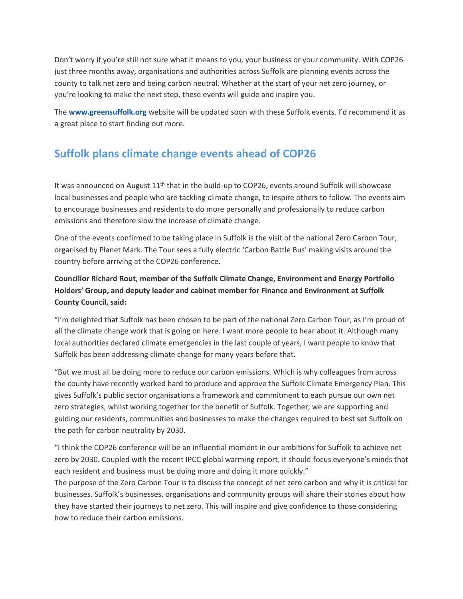Don't worry if you're still not sure what it means to you, your business or your community. With COP26 just three months away, organisations and authorities across Suffolk are planning events across the county to talk net zero and being carbon neutral. Whether at the start of your net zero journey, or you're looking to make the next step, these events will guide and inspire you.

The **[www.greensuffolk.org](http://www.greensuffolk.org/)** website will be updated soon with these Suffolk events. I'd recommend it as a great place to start finding out more.

## **Suffolk plans climate change events ahead of COP26**

It was announced on August  $11<sup>th</sup>$  that in the build-up to COP26, events around Suffolk will showcase local businesses and people who are tackling climate change, to inspire others to follow. The events aim to encourage businesses and residents to do more personally and professionally to reduce carbon emissions and therefore slow the increase of climate change.

One of the events confirmed to be taking place in Suffolk is the visit of the national Zero Carbon Tour, organised by Planet Mark. The Tour sees a fully electric 'Carbon Battle Bus' making visits around the country before arriving at the COP26 conference.

### **Councillor Richard Rout, member of the Suffolk Climate Change, Environment and Energy Portfolio Holders' Group, and deputy leader and cabinet member for Finance and Environment at Suffolk County Council, said:**

"I'm delighted that Suffolk has been chosen to be part of the national Zero Carbon Tour, as I'm proud of all the climate change work that is going on here. I want more people to hear about it. Although many local authorities declared climate emergencies in the last couple of years, I want people to know that Suffolk has been addressing climate change for many years before that.

"But we must all be doing more to reduce our carbon emissions. Which is why colleagues from across the county have recently worked hard to produce and approve the Suffolk Climate Emergency Plan. This gives Suffolk's public sector organisations a framework and commitment to each pursue our own net zero strategies, whilst working together for the benefit of Suffolk. Together, we are supporting and guiding our residents, communities and businesses to make the changes required to best set Suffolk on the path for carbon neutrality by 2030.

"I think the COP26 conference will be an influential moment in our ambitions for Suffolk to achieve net zero by 2030. Coupled with the recent IPCC global warming report, it should focus everyone's minds that each resident and business must be doing more and doing it more quickly."

The purpose of the Zero Carbon Tour is to discuss the concept of net zero carbon and why it is critical for businesses. Suffolk's businesses, organisations and community groups will share their stories about how they have started their journeys to net zero. This will inspire and give confidence to those considering how to reduce their carbon emissions.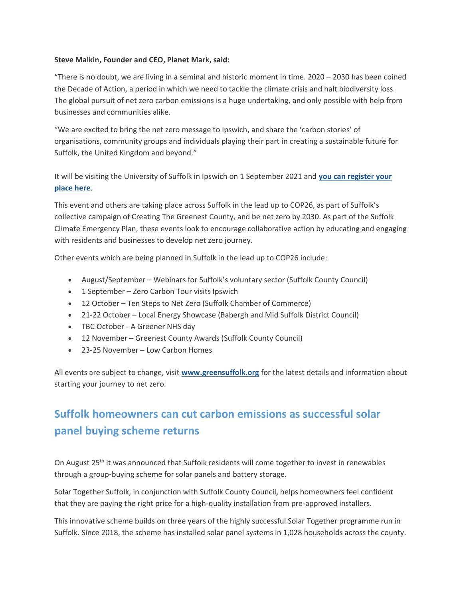#### **Steve Malkin, Founder and CEO, Planet Mark, said:**

"There is no doubt, we are living in a seminal and historic moment in time. 2020 – 2030 has been coined the Decade of Action, a period in which we need to tackle the climate crisis and halt biodiversity loss. The global pursuit of net zero carbon emissions is a huge undertaking, and only possible with help from businesses and communities alike.

"We are excited to bring the net zero message to Ipswich, and share the 'carbon stories' of organisations, community groups and individuals playing their part in creating a sustainable future for Suffolk, the United Kingdom and beyond."

It will be visiting the University of Suffolk in Ipswich on 1 September 2021 and **[you can register your](https://www.eventbrite.co.uk/e/ipswich-roadmap-to-net-zero-zero-carbon-tour-tickets-164473170681)  [place here](https://www.eventbrite.co.uk/e/ipswich-roadmap-to-net-zero-zero-carbon-tour-tickets-164473170681)**.

This event and others are taking place across Suffolk in the lead up to COP26, as part of Suffolk's collective campaign of Creating The Greenest County, and be net zero by 2030. As part of the Suffolk Climate Emergency Plan, these events look to encourage collaborative action by educating and engaging with residents and businesses to develop net zero journey.

Other events which are being planned in Suffolk in the lead up to COP26 include:

- August/September Webinars for Suffolk's voluntary sector (Suffolk County Council)
- 1 September Zero Carbon Tour visits Ipswich
- 12 October Ten Steps to Net Zero (Suffolk Chamber of Commerce)
- 21-22 October Local Energy Showcase (Babergh and Mid Suffolk District Council)
- TBC October A Greener NHS day
- 12 November Greenest County Awards (Suffolk County Council)
- 23-25 November Low Carbon Homes

All events are subject to change, visit **[www.greensuffolk.org](https://www.greensuffolk.org/)** for the latest details and information about starting your journey to net zero.

# **Suffolk homeowners can cut carbon emissions as successful solar panel buying scheme returns**

On August 25<sup>th</sup> it was announced that Suffolk residents will come together to invest in renewables through a group-buying scheme for solar panels and battery storage.

Solar Together Suffolk, in conjunction with Suffolk County Council, helps homeowners feel confident that they are paying the right price for a high-quality installation from pre-approved installers.

This innovative scheme builds on three years of the highly successful Solar Together programme run in Suffolk. Since 2018, the scheme has installed solar panel systems in 1,028 households across the county.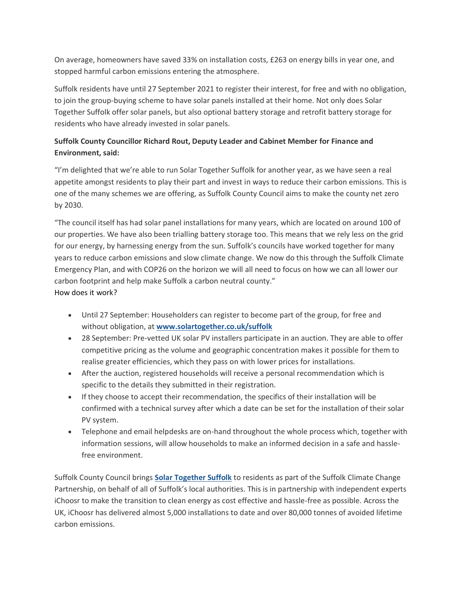On average, homeowners have saved 33% on installation costs, £263 on energy bills in year one, and stopped harmful carbon emissions entering the atmosphere.

Suffolk residents have until 27 September 2021 to register their interest, for free and with no obligation, to join the group-buying scheme to have solar panels installed at their home. Not only does Solar Together Suffolk offer solar panels, but also optional battery storage and retrofit battery storage for residents who have already invested in solar panels.

### **Suffolk County Councillor Richard Rout, Deputy Leader and Cabinet Member for Finance and Environment, said:**

"I'm delighted that we're able to run Solar Together Suffolk for another year, as we have seen a real appetite amongst residents to play their part and invest in ways to reduce their carbon emissions. This is one of the many schemes we are offering, as Suffolk County Council aims to make the county net zero by 2030.

"The council itself has had solar panel installations for many years, which are located on around 100 of our properties. We have also been trialling battery storage too. This means that we rely less on the grid for our energy, by harnessing energy from the sun. Suffolk's councils have worked together for many years to reduce carbon emissions and slow climate change. We now do this through the Suffolk Climate Emergency Plan, and with COP26 on the horizon we will all need to focus on how we can all lower our carbon footprint and help make Suffolk a carbon neutral county."

How does it work?

- Until 27 September: Householders can register to become part of the group, for free and without obligation, at **[www.solartogether.co.uk/suffolk](https://solartogether.co.uk/suffolk/home)**
- 28 September: Pre-vetted UK solar PV installers participate in an auction. They are able to offer competitive pricing as the volume and geographic concentration makes it possible for them to realise greater efficiencies, which they pass on with lower prices for installations.
- After the auction, registered households will receive a personal recommendation which is specific to the details they submitted in their registration.
- If they choose to accept their recommendation, the specifics of their installation will be confirmed with a technical survey after which a date can be set for the installation of their solar PV system.
- Telephone and email helpdesks are on-hand throughout the whole process which, together with information sessions, will allow households to make an informed decision in a safe and hasslefree environment.

Suffolk County Council brings **[Solar Together Suffolk](https://www.suffolk.gov.uk/planning-waste-and-environment/initiatives/solar-together-suffolk/)** to residents as part of the Suffolk Climate Change Partnership, on behalf of all of Suffolk's local authorities. This is in partnership with independent experts iChoosr to make the transition to clean energy as cost effective and hassle-free as possible. Across the UK, iChoosr has delivered almost 5,000 installations to date and over 80,000 tonnes of avoided lifetime carbon emissions.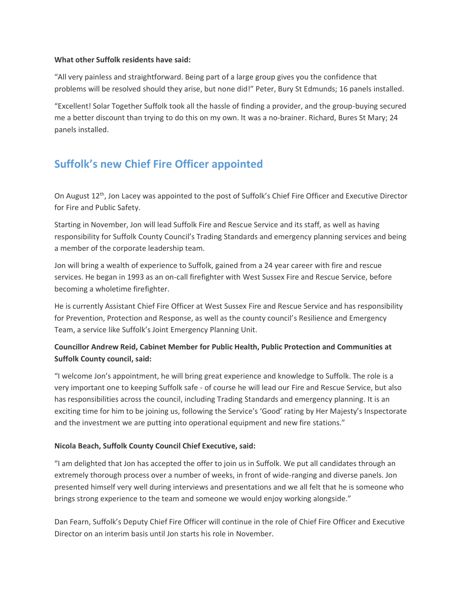#### **What other Suffolk residents have said:**

"All very painless and straightforward. Being part of a large group gives you the confidence that problems will be resolved should they arise, but none did!" Peter, Bury St Edmunds; 16 panels installed.

"Excellent! Solar Together Suffolk took all the hassle of finding a provider, and the group-buying secured me a better discount than trying to do this on my own. It was a no-brainer. Richard, Bures St Mary; 24 panels installed.

## **Suffolk's new Chief Fire Officer appointed**

On August 12<sup>th</sup>, Jon Lacey was appointed to the post of Suffolk's Chief Fire Officer and Executive Director for Fire and Public Safety.

Starting in November, Jon will lead Suffolk Fire and Rescue Service and its staff, as well as having responsibility for Suffolk County Council's Trading Standards and emergency planning services and being a member of the corporate leadership team.

Jon will bring a wealth of experience to Suffolk, gained from a 24 year career with fire and rescue services. He began in 1993 as an on-call firefighter with West Sussex Fire and Rescue Service, before becoming a wholetime firefighter.

He is currently Assistant Chief Fire Officer at West Sussex Fire and Rescue Service and has responsibility for Prevention, Protection and Response, as well as the county council's Resilience and Emergency Team, a service like Suffolk's Joint Emergency Planning Unit.

#### **Councillor Andrew Reid, Cabinet Member for Public Health, Public Protection and Communities at Suffolk County council, said:**

"I welcome Jon's appointment, he will bring great experience and knowledge to Suffolk. The role is a very important one to keeping Suffolk safe - of course he will lead our Fire and Rescue Service, but also has responsibilities across the council, including Trading Standards and emergency planning. It is an exciting time for him to be joining us, following the Service's 'Good' rating by Her Majesty's Inspectorate and the investment we are putting into operational equipment and new fire stations."

#### **Nicola Beach, Suffolk County Council Chief Executive, said:**

"I am delighted that Jon has accepted the offer to join us in Suffolk. We put all candidates through an extremely thorough process over a number of weeks, in front of wide-ranging and diverse panels. Jon presented himself very well during interviews and presentations and we all felt that he is someone who brings strong experience to the team and someone we would enjoy working alongside."

Dan Fearn, Suffolk's Deputy Chief Fire Officer will continue in the role of Chief Fire Officer and Executive Director on an interim basis until Jon starts his role in November.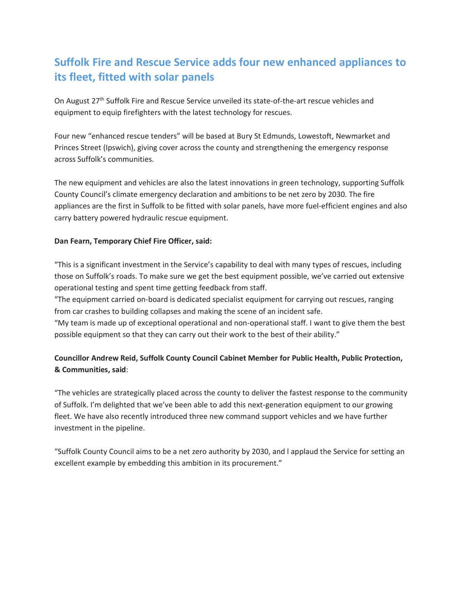# **Suffolk Fire and Rescue Service adds four new enhanced appliances to its fleet, fitted with solar panels**

On August 27<sup>th</sup> Suffolk Fire and Rescue Service unveiled its state-of-the-art rescue vehicles and equipment to equip firefighters with the latest technology for rescues.

Four new "enhanced rescue tenders" will be based at Bury St Edmunds, Lowestoft, Newmarket and Princes Street (Ipswich), giving cover across the county and strengthening the emergency response across Suffolk's communities.

The new equipment and vehicles are also the latest innovations in green technology, supporting Suffolk County Council's climate emergency declaration and ambitions to be net zero by 2030. The fire appliances are the first in Suffolk to be fitted with solar panels, have more fuel-efficient engines and also carry battery powered hydraulic rescue equipment.

#### **Dan Fearn, Temporary Chief Fire Officer, said:**

"This is a significant investment in the Service's capability to deal with many types of rescues, including those on Suffolk's roads. To make sure we get the best equipment possible, we've carried out extensive operational testing and spent time getting feedback from staff.

"The equipment carried on-board is dedicated specialist equipment for carrying out rescues, ranging from car crashes to building collapses and making the scene of an incident safe.

"My team is made up of exceptional operational and non-operational staff. I want to give them the best possible equipment so that they can carry out their work to the best of their ability."

### **Councillor Andrew Reid, Suffolk County Council Cabinet Member for Public Health, Public Protection, & Communities, said**:

"The vehicles are strategically placed across the county to deliver the fastest response to the community of Suffolk. I'm delighted that we've been able to add this next-generation equipment to our growing fleet. We have also recently introduced three new command support vehicles and we have further investment in the pipeline.

"Suffolk County Council aims to be a net zero authority by 2030, and l applaud the Service for setting an excellent example by embedding this ambition in its procurement."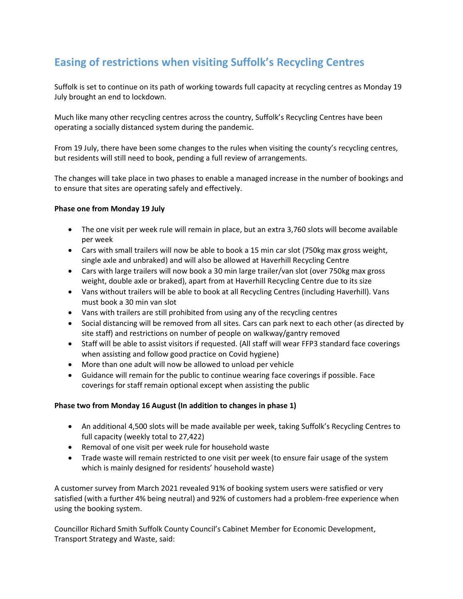# **Easing of restrictions when visiting Suffolk's Recycling Centres**

Suffolk is set to continue on its path of working towards full capacity at recycling centres as Monday 19 July brought an end to lockdown.

Much like many other recycling centres across the country, Suffolk's Recycling Centres have been operating a socially distanced system during the pandemic.

From 19 July, there have been some changes to the rules when visiting the county's recycling centres, but residents will still need to book, pending a full review of arrangements.

The changes will take place in two phases to enable a managed increase in the number of bookings and to ensure that sites are operating safely and effectively.

#### **Phase one from Monday 19 July**

- The one visit per week rule will remain in place, but an extra 3,760 slots will become available per week
- Cars with small trailers will now be able to book a 15 min car slot (750kg max gross weight, single axle and unbraked) and will also be allowed at Haverhill Recycling Centre
- Cars with large trailers will now book a 30 min large trailer/van slot (over 750kg max gross weight, double axle or braked), apart from at Haverhill Recycling Centre due to its size
- Vans without trailers will be able to book at all Recycling Centres (including Haverhill). Vans must book a 30 min van slot
- Vans with trailers are still prohibited from using any of the recycling centres
- Social distancing will be removed from all sites. Cars can park next to each other (as directed by site staff) and restrictions on number of people on walkway/gantry removed
- Staff will be able to assist visitors if requested. (All staff will wear FFP3 standard face coverings when assisting and follow good practice on Covid hygiene)
- More than one adult will now be allowed to unload per vehicle
- Guidance will remain for the public to continue wearing face coverings if possible. Face coverings for staff remain optional except when assisting the public

#### **Phase two from Monday 16 August (In addition to changes in phase 1)**

- An additional 4,500 slots will be made available per week, taking Suffolk's Recycling Centres to full capacity (weekly total to 27,422)
- Removal of one visit per week rule for household waste
- Trade waste will remain restricted to one visit per week (to ensure fair usage of the system which is mainly designed for residents' household waste)

A customer survey from March 2021 revealed 91% of booking system users were satisfied or very satisfied (with a further 4% being neutral) and 92% of customers had a problem-free experience when using the booking system.

Councillor Richard Smith Suffolk County Council's Cabinet Member for Economic Development, Transport Strategy and Waste, said: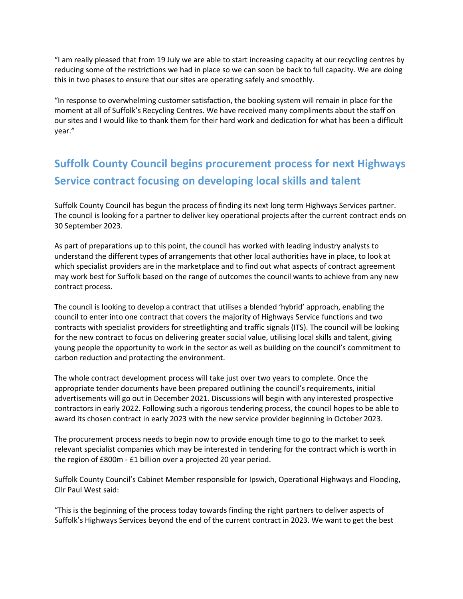"I am really pleased that from 19 July we are able to start increasing capacity at our recycling centres by reducing some of the restrictions we had in place so we can soon be back to full capacity. We are doing this in two phases to ensure that our sites are operating safely and smoothly.

"In response to overwhelming customer satisfaction, the booking system will remain in place for the moment at all of Suffolk's Recycling Centres. We have received many compliments about the staff on our sites and I would like to thank them for their hard work and dedication for what has been a difficult year."

# **Suffolk County Council begins procurement process for next Highways Service contract focusing on developing local skills and talent**

Suffolk County Council has begun the process of finding its next long term Highways Services partner. The council is looking for a partner to deliver key operational projects after the current contract ends on 30 September 2023.

As part of preparations up to this point, the council has worked with leading industry analysts to understand the different types of arrangements that other local authorities have in place, to look at which specialist providers are in the marketplace and to find out what aspects of contract agreement may work best for Suffolk based on the range of outcomes the council wants to achieve from any new contract process.

The council is looking to develop a contract that utilises a blended 'hybrid' approach, enabling the council to enter into one contract that covers the majority of Highways Service functions and two contracts with specialist providers for streetlighting and traffic signals (ITS). The council will be looking for the new contract to focus on delivering greater social value, utilising local skills and talent, giving young people the opportunity to work in the sector as well as building on the council's commitment to carbon reduction and protecting the environment.

The whole contract development process will take just over two years to complete. Once the appropriate tender documents have been prepared outlining the council's requirements, initial advertisements will go out in December 2021. Discussions will begin with any interested prospective contractors in early 2022. Following such a rigorous tendering process, the council hopes to be able to award its chosen contract in early 2023 with the new service provider beginning in October 2023.

The procurement process needs to begin now to provide enough time to go to the market to seek relevant specialist companies which may be interested in tendering for the contract which is worth in the region of £800m - £1 billion over a projected 20 year period.

Suffolk County Council's Cabinet Member responsible for Ipswich, Operational Highways and Flooding, Cllr Paul West said:

"This is the beginning of the process today towards finding the right partners to deliver aspects of Suffolk's Highways Services beyond the end of the current contract in 2023. We want to get the best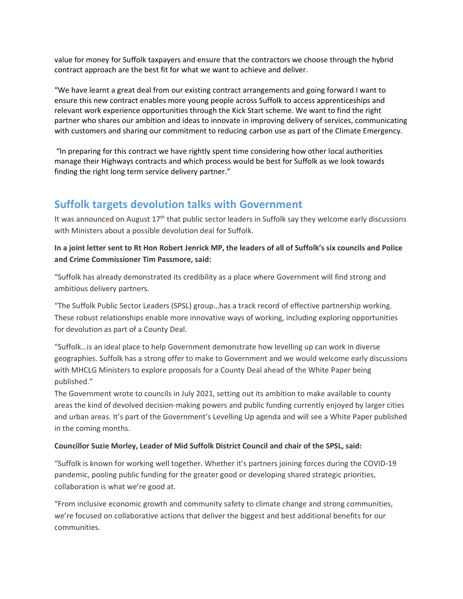value for money for Suffolk taxpayers and ensure that the contractors we choose through the hybrid contract approach are the best fit for what we want to achieve and deliver.

"We have learnt a great deal from our existing contract arrangements and going forward I want to ensure this new contract enables more young people across Suffolk to access apprenticeships and relevant work experience opportunities through the Kick Start scheme. We want to find the right partner who shares our ambition and ideas to innovate in improving delivery of services, communicating with customers and sharing our commitment to reducing carbon use as part of the Climate Emergency.

"In preparing for this contract we have rightly spent time considering how other local authorities manage their Highways contracts and which process would be best for Suffolk as we look towards finding the right long term service delivery partner."

### **Suffolk targets devolution talks with Government**

It was announced on August  $17<sup>th</sup>$  that public sector leaders in Suffolk say they welcome early discussions with Ministers about a possible devolution deal for Suffolk.

#### **In a joint letter sent to Rt Hon Robert Jenrick MP, the leaders of all of Suffolk's six councils and Police and Crime Commissioner Tim Passmore, said:**

"Suffolk has already demonstrated its credibility as a place where Government will find strong and ambitious delivery partners.

"The Suffolk Public Sector Leaders (SPSL) group…has a track record of effective partnership working. These robust relationships enable more innovative ways of working, including exploring opportunities for devolution as part of a County Deal.

"Suffolk…is an ideal place to help Government demonstrate how levelling up can work in diverse geographies. Suffolk has a strong offer to make to Government and we would welcome early discussions with MHCLG Ministers to explore proposals for a County Deal ahead of the White Paper being published."

The Government wrote to councils in July 2021, setting out its ambition to make available to county areas the kind of devolved decision-making powers and public funding currently enjoyed by larger cities and urban areas. It's part of the Government's Levelling Up agenda and will see a White Paper published in the coming months.

#### **Councillor Suzie Morley, Leader of Mid Suffolk District Council and chair of the SPSL, said:**

"Suffolk is known for working well together. Whether it's partners joining forces during the COVID-19 pandemic, pooling public funding for the greater good or developing shared strategic priorities, collaboration is what we're good at.

"From inclusive economic growth and community safety to climate change and strong communities, we're focused on collaborative actions that deliver the biggest and best additional benefits for our communities.